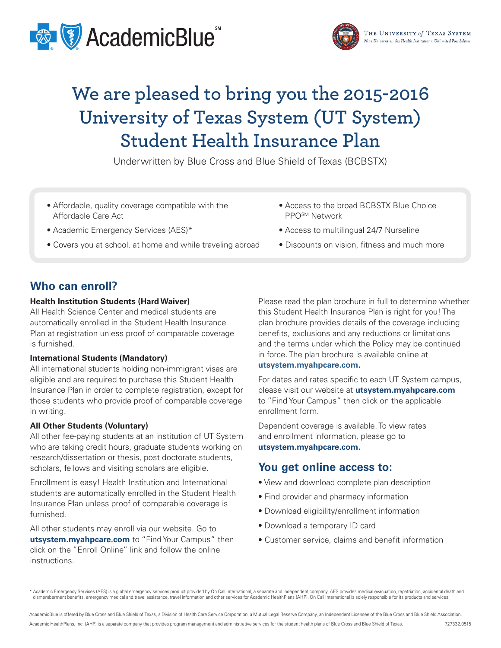



# **We are pleased to bring you the 2015-2016 University of Texas System (UT System) Student Health Insurance Plan**

Underwritten by Blue Cross and Blue Shield of Texas (BCBSTX)

- Affordable, quality coverage compatible with the Affordable Care Act
- Academic Emergency Services (AES)\*
- Covers you at school, at home and while traveling abroad
- Access to the broad BCBSTX Blue Choice PPOSM Network
- Access to multilingual 24/7 Nurseline
- Discounts on vision, fitness and much more

## **Who can enroll?**

#### **Health Institution Students (Hard Waiver)**

All Health Science Center and medical students are automatically enrolled in the Student Health Insurance Plan at registration unless proof of comparable coverage is furnished.

#### **International Students (Mandatory)**

All international students holding non-immigrant visas are eligible and are required to purchase this Student Health Insurance Plan in order to complete registration, except for those students who provide proof of comparable coverage in writing.

#### **All Other Students (Voluntary)**

All other fee-paying students at an institution of UT System who are taking credit hours, graduate students working on research/dissertation or thesis, post doctorate students, scholars, fellows and visiting scholars are eligible.

Enrollment is easy! Health Institution and International students are automatically enrolled in the Student Health Insurance Plan unless proof of comparable coverage is furnished.

All other students may enroll via our website. Go to **utsystem.myahpcare.com** to "Find Your Campus" then click on the "Enroll Online" link and follow the online instructions.

Please read the plan brochure in full to determine whether this Student Health Insurance Plan is right for you! The plan brochure provides details of the coverage including benefits, exclusions and any reductions or limitations and the terms under which the Policy may be continued in force. The plan brochure is available online at

#### **utsystem.myahpcare.com.**

For dates and rates specific to each UT System campus, please visit our website at **utsystem.myahpcare.com** to "Find Your Campus" then click on the applicable enrollment form.

Dependent coverage is available. To view rates and enrollment information, please go to **utsystem.myahpcare.com.**

### **You get online access to:**

- View and download complete plan description
- Find provider and pharmacy information
- Download eligibility/enrollment information
- Download a temporary ID card
- Customer service, claims and benefit information

\* Academic Emergency Services (AES) is a global emergency services product provided by On Call International, a separate and independent company. AES provides medical evacuation, repatriation, accidental death and dismemberment benefits, emergency medical and travel assistance, travel information and other services for Academic HealthPlans (AHP). On Call International is solely responsible for its products and services.

AcademicBlue is offered by Blue Cross and Blue Shield of Texas, a Division of Health Care Service Corporation, a Mutual Legal Reserve Company, an Independent Licensee of the Blue Cross and Blue Shield Association.

Academic HealthPlans, Inc. (AHP) is a separate company that provides program management and administrative services for the student health plans of Blue Cross and Blue Shield of Texas. 727332.0515